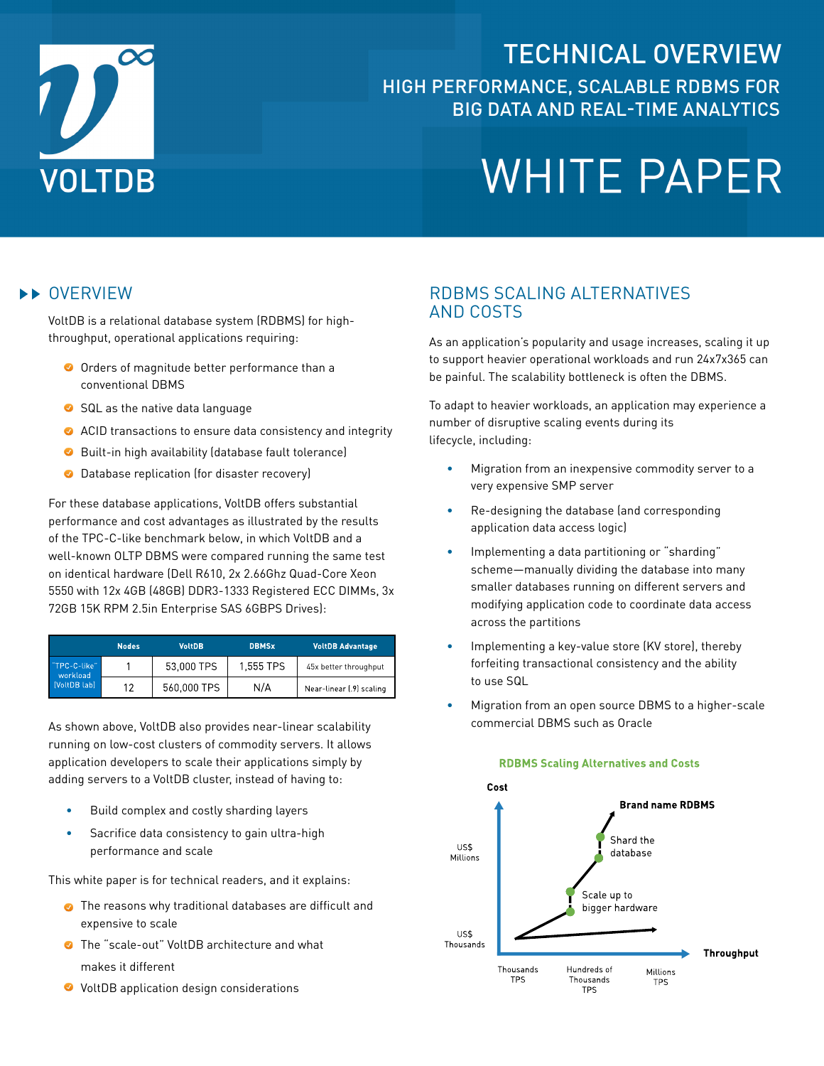

# TECHNICAL OVERVIEW High performance, scalable RDBMS for Big Data and Real-time Analytics

# **WHITE PAPER**

#### **EXAMPLE OVERVIEW**

VoltDB is a relational database system (RDBMS) for highthroughput, operational applications requiring:

- O Orders of magnitude better performance than a conventional DBMS
- SQL as the native data language
- ACID transactions to ensure data consistency and integrity
- **O** Built-in high availability (database fault tolerance)
- **O** Database replication (for disaster recovery)

For these database applications, VoltDB offers substantial performance and cost advantages as illustrated by the results of the TPC-C-like benchmark below, in which VoltDB and a well-known OLTP DBMS were compared running the same test on identical hardware (Dell R610, 2x 2.66Ghz Quad-Core Xeon 5550 with 12x 4GB (48GB) DDR3-1333 Registered ECC DIMMs, 3x 72GB 15K RPM 2.5in Enterprise SAS 6GBPS Drives):

|                                          | <b>Nodes</b> | <b>VoltDB</b> | <b>DBMSx</b> | <b>VoltDB Advantage</b>  |
|------------------------------------------|--------------|---------------|--------------|--------------------------|
| "TPC-C-like"<br>workload<br>[VoltDB lab] |              | 53,000 TPS    | 1,555 TPS    | 45x better throughput    |
|                                          | 12           | 560,000 TPS   | N/A          | Near-linear (.9) scaling |

As shown above, VoltDB also provides near-linear scalability running on low-cost clusters of commodity servers. It allows application developers to scale their applications simply by adding servers to a VoltDB cluster, instead of having to:

- Build complex and costly sharding layers
- Sacrifice data consistency to gain ultra-high performance and scale

This white paper is for technical readers, and it explains:

- **•** The reasons why traditional databases are difficult and expensive to scale
- The "scale-out" VoltDB architecture and what makes it different
- **◆** VoltDB application design considerations

#### RDBMS Scaling Alternatives and Costs

As an application's popularity and usage increases, scaling it up to support heavier operational workloads and run 24x7x365 can be painful. The scalability bottleneck is often the DBMS.

To adapt to heavier workloads, an application may experience a number of disruptive scaling events during its lifecycle, including:

- Migration from an inexpensive commodity server to a very expensive SMP server
- Re-designing the database (and corresponding application data access logic)
- Implementing a data partitioning or "sharding" scheme—manually dividing the database into many smaller databases running on different servers and modifying application code to coordinate data access across the partitions
- Implementing a key-value store (KV store), thereby forfeiting transactional consistency and the ability to use SQL
- Migration from an open source DBMS to a higher-scale commercial DBMS such as Oracle



#### **RDBMS Scaling Alternatives and Costs**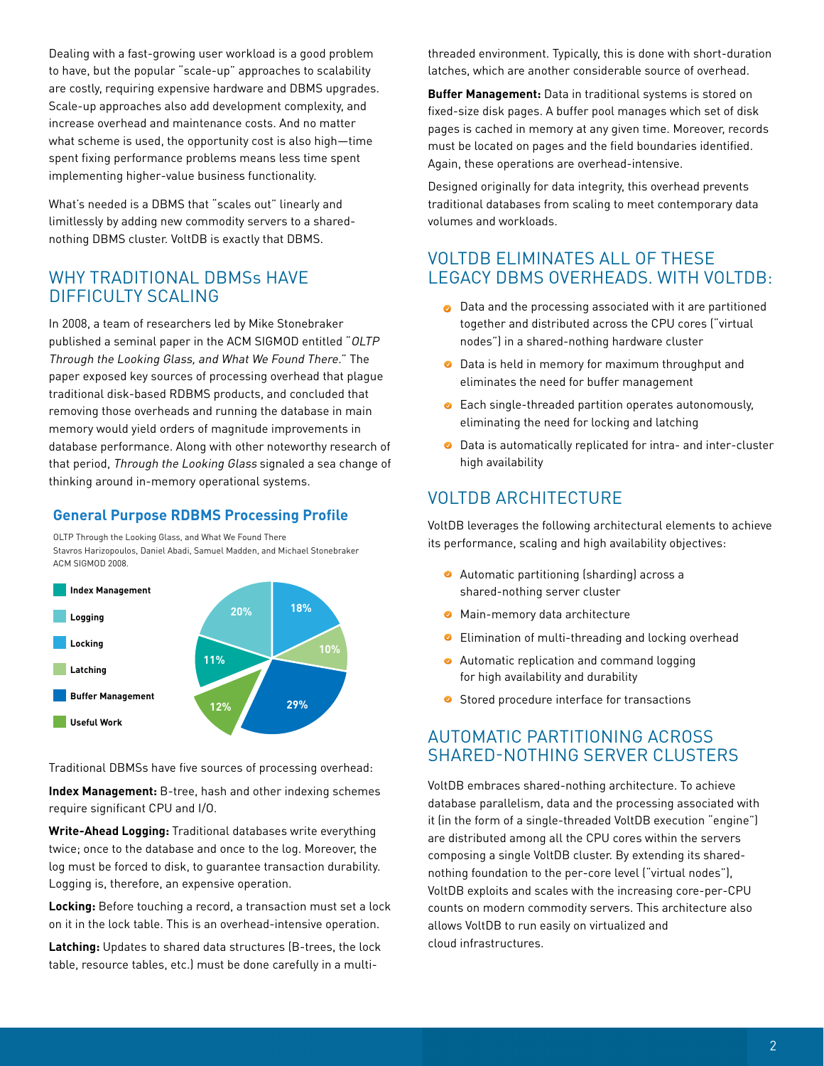Dealing with a fast-growing user workload is a good problem to have, but the popular "scale-up" approaches to scalability are costly, requiring expensive hardware and DBMS upgrades. Scale-up approaches also add development complexity, and increase overhead and maintenance costs. And no matter what scheme is used, the opportunity cost is also high—time spent fixing performance problems means less time spent implementing higher-value business functionality.

What's needed is a DBMS that "scales out" linearly and limitlessly by adding new commodity servers to a sharednothing DBMS cluster. VoltDB is exactly that DBMS.

#### WHY TRADITIONAL DBMS<sub>S</sub> HAVE Difficulty Scaling

In 2008, a team of researchers led by Mike Stonebraker published a seminal paper in the ACM SIGMOD entitled "OLTP Through the Looking Glass, and What We Found There." The paper exposed key sources of processing overhead that plague traditional disk-based RDBMS products, and concluded that removing those overheads and running the database in main memory would yield orders of magnitude improvements in database performance. Along with other noteworthy research of that period, Through the Looking Glass signaled a sea change of thinking around in-memory operational systems.

#### **General Purpose RDBMS Processing Profile**

OLTP Through the Looking Glass, and What We Found There Stavros Harizopoulos, Daniel Abadi, Samuel Madden, and Michael Stonebraker ACM SIGMOD 2008.



Traditional DBMSs have five sources of processing overhead:

**Index Management:** B-tree, hash and other indexing schemes require significant CPU and I/O.

**Write-Ahead Logging:** Traditional databases write everything twice; once to the database and once to the log. Moreover, the log must be forced to disk, to guarantee transaction durability. Logging is, therefore, an expensive operation.

**Locking:** Before touching a record, a transaction must set a lock on it in the lock table. This is an overhead-intensive operation.

**Latching:** Updates to shared data structures (B-trees, the lock table, resource tables, etc.) must be done carefully in a multithreaded environment. Typically, this is done with short-duration latches, which are another considerable source of overhead.

**Buffer Management:** Data in traditional systems is stored on fixed-size disk pages. A buffer pool manages which set of disk pages is cached in memory at any given time. Moreover, records must be located on pages and the field boundaries identified. Again, these operations are overhead-intensive.

Designed originally for data integrity, this overhead prevents traditional databases from scaling to meet contemporary data volumes and workloads.

#### VoltDB Eliminates All of these Legacy DBMS Overheads. With VoltDB:

- **O** Data and the processing associated with it are partitioned together and distributed across the CPU cores ("virtual nodes") in a shared-nothing hardware cluster
- Data is held in memory for maximum throughput and eliminates the need for buffer management
- **Each single-threaded partition operates autonomously,** eliminating the need for locking and latching
- **O** Data is automatically replicated for intra- and inter-cluster high availability

#### VOLTDB ARCHITECTURE

VoltDB leverages the following architectural elements to achieve its performance, scaling and high availability objectives:

- Automatic partitioning (sharding) across a shared-nothing server cluster
- **O** Main-memory data architecture
- **•** Elimination of multi-threading and locking overhead
- **•** Automatic replication and command logging for high availability and durability
- **Stored procedure interface for transactions**

#### Automatic Partitioning Across Shared-nothing ServeR Clusters

VoltDB embraces shared-nothing architecture. To achieve database parallelism, data and the processing associated with it (in the form of a single-threaded VoltDB execution "engine") are distributed among all the CPU cores within the servers composing a single VoltDB cluster. By extending its sharednothing foundation to the per-core level ("virtual nodes"), VoltDB exploits and scales with the increasing core-per-CPU counts on modern commodity servers. This architecture also allows VoltDB to run easily on virtualized and cloud infrastructures.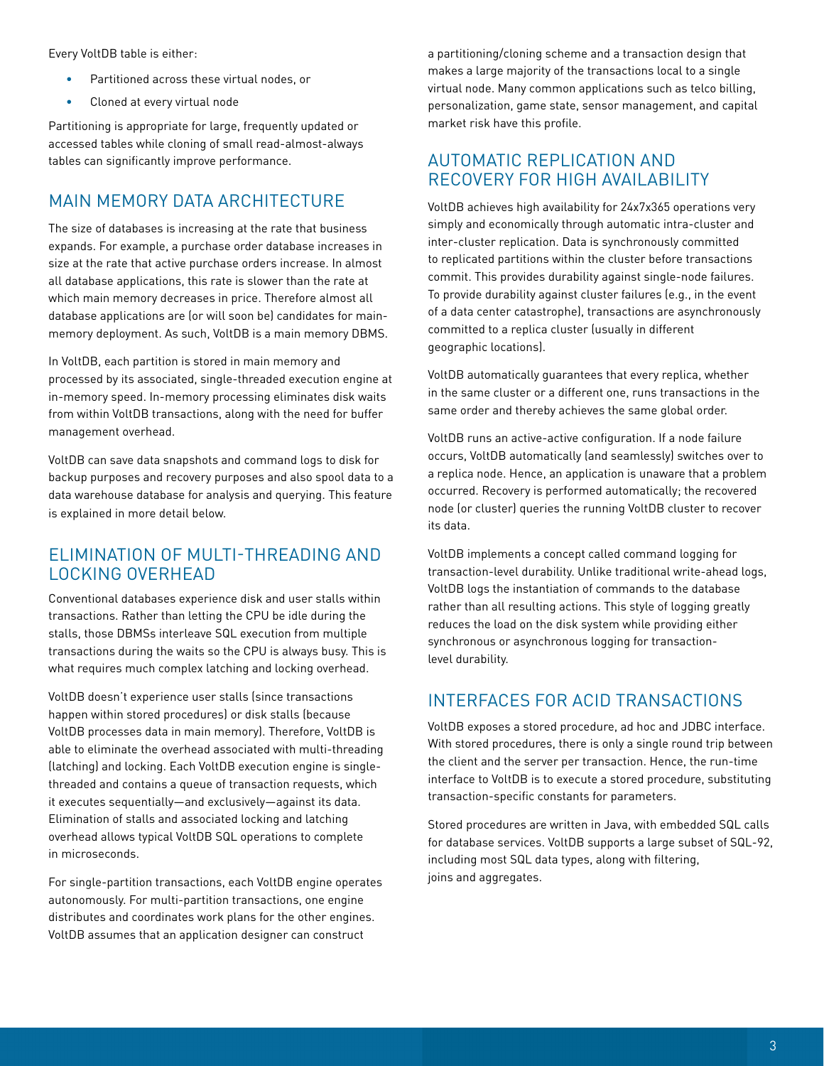Every VoltDB table is either:

- Partitioned across these virtual nodes, or
- Cloned at every virtual node

Partitioning is appropriate for large, frequently updated or accessed tables while cloning of small read-almost-always tables can significantly improve performance.

#### Main Memory Data Architecture

The size of databases is increasing at the rate that business expands. For example, a purchase order database increases in size at the rate that active purchase orders increase. In almost all database applications, this rate is slower than the rate at which main memory decreases in price. Therefore almost all database applications are (or will soon be) candidates for mainmemory deployment. As such, VoltDB is a main memory DBMS.

In VoltDB, each partition is stored in main memory and processed by its associated, single-threaded execution engine at in-memory speed. In-memory processing eliminates disk waits from within VoltDB transactions, along with the need for buffer management overhead.

VoltDB can save data snapshots and command logs to disk for backup purposes and recovery purposes and also spool data to a data warehouse database for analysis and querying. This feature is explained in more detail below.

#### Elimination of Multi-threading and Locking Overhead

Conventional databases experience disk and user stalls within transactions. Rather than letting the CPU be idle during the stalls, those DBMSs interleave SQL execution from multiple transactions during the waits so the CPU is always busy. This is what requires much complex latching and locking overhead.

VoltDB doesn't experience user stalls (since transactions happen within stored procedures) or disk stalls (because VoltDB processes data in main memory). Therefore, VoltDB is able to eliminate the overhead associated with multi-threading (latching) and locking. Each VoltDB execution engine is singlethreaded and contains a queue of transaction requests, which it executes sequentially—and exclusively—against its data. Elimination of stalls and associated locking and latching overhead allows typical VoltDB SQL operations to complete in microseconds.

For single-partition transactions, each VoltDB engine operates autonomously. For multi-partition transactions, one engine distributes and coordinates work plans for the other engines. VoltDB assumes that an application designer can construct

a partitioning/cloning scheme and a transaction design that makes a large majority of the transactions local to a single virtual node. Many common applications such as telco billing, personalization, game state, sensor management, and capital market risk have this profile.

#### Automatic Replication and Recovery for High Availability

VoltDB achieves high availability for 24x7x365 operations very simply and economically through automatic intra-cluster and inter-cluster replication. Data is synchronously committed to replicated partitions within the cluster before transactions commit. This provides durability against single-node failures. To provide durability against cluster failures (e.g., in the event of a data center catastrophe), transactions are asynchronously committed to a replica cluster (usually in different geographic locations).

VoltDB automatically guarantees that every replica, whether in the same cluster or a different one, runs transactions in the same order and thereby achieves the same global order.

VoltDB runs an active-active configuration. If a node failure occurs, VoltDB automatically (and seamlessly) switches over to a replica node. Hence, an application is unaware that a problem occurred. Recovery is performed automatically; the recovered node (or cluster) queries the running VoltDB cluster to recover its data.

VoltDB implements a concept called command logging for transaction-level durability. Unlike traditional write-ahead logs, VoltDB logs the instantiation of commands to the database rather than all resulting actions. This style of logging greatly reduces the load on the disk system while providing either synchronous or asynchronous logging for transactionlevel durability.

#### INTERFACES FOR ACID TRANSACTIONS

VoltDB exposes a stored procedure, ad hoc and JDBC interface. With stored procedures, there is only a single round trip between the client and the server per transaction. Hence, the run-time interface to VoltDB is to execute a stored procedure, substituting transaction-specific constants for parameters.

Stored procedures are written in Java, with embedded SQL calls for database services. VoltDB supports a large subset of SQL-92, including most SQL data types, along with filtering, joins and aggregates.